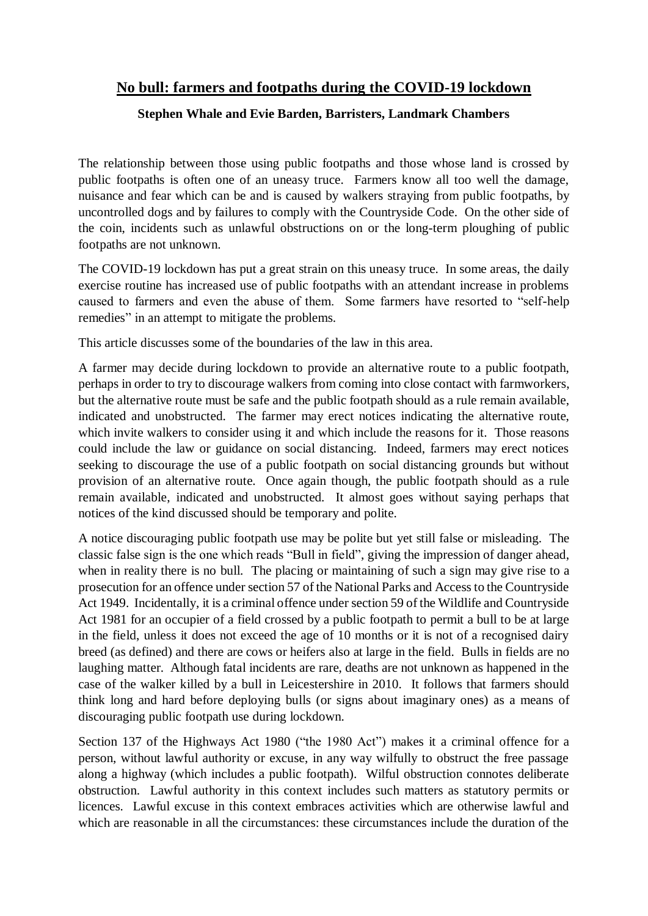## **No bull: farmers and footpaths during the COVID-19 lockdown**

## **Stephen Whale and Evie Barden, Barristers, Landmark Chambers**

The relationship between those using public footpaths and those whose land is crossed by public footpaths is often one of an uneasy truce. Farmers know all too well the damage, nuisance and fear which can be and is caused by walkers straying from public footpaths, by uncontrolled dogs and by failures to comply with the Countryside Code. On the other side of the coin, incidents such as unlawful obstructions on or the long-term ploughing of public footpaths are not unknown.

The COVID-19 lockdown has put a great strain on this uneasy truce. In some areas, the daily exercise routine has increased use of public footpaths with an attendant increase in problems caused to farmers and even the abuse of them. Some farmers have resorted to "self-help remedies" in an attempt to mitigate the problems.

This article discusses some of the boundaries of the law in this area.

A farmer may decide during lockdown to provide an alternative route to a public footpath, perhaps in order to try to discourage walkers from coming into close contact with farmworkers, but the alternative route must be safe and the public footpath should as a rule remain available, indicated and unobstructed. The farmer may erect notices indicating the alternative route, which invite walkers to consider using it and which include the reasons for it. Those reasons could include the law or guidance on social distancing. Indeed, farmers may erect notices seeking to discourage the use of a public footpath on social distancing grounds but without provision of an alternative route. Once again though, the public footpath should as a rule remain available, indicated and unobstructed. It almost goes without saying perhaps that notices of the kind discussed should be temporary and polite.

A notice discouraging public footpath use may be polite but yet still false or misleading. The classic false sign is the one which reads "Bull in field", giving the impression of danger ahead, when in reality there is no bull. The placing or maintaining of such a sign may give rise to a prosecution for an offence under section 57 of the National Parks and Access to the Countryside Act 1949. Incidentally, it is a criminal offence under section 59 of the Wildlife and Countryside Act 1981 for an occupier of a field crossed by a public footpath to permit a bull to be at large in the field, unless it does not exceed the age of 10 months or it is not of a recognised dairy breed (as defined) and there are cows or heifers also at large in the field. Bulls in fields are no laughing matter. Although fatal incidents are rare, deaths are not unknown as happened in the case of the walker killed by a bull in Leicestershire in 2010. It follows that farmers should think long and hard before deploying bulls (or signs about imaginary ones) as a means of discouraging public footpath use during lockdown.

Section 137 of the Highways Act 1980 ("the 1980 Act") makes it a criminal offence for a person, without lawful authority or excuse, in any way wilfully to obstruct the free passage along a highway (which includes a public footpath). Wilful obstruction connotes deliberate obstruction. Lawful authority in this context includes such matters as statutory permits or licences. Lawful excuse in this context embraces activities which are otherwise lawful and which are reasonable in all the circumstances: these circumstances include the duration of the